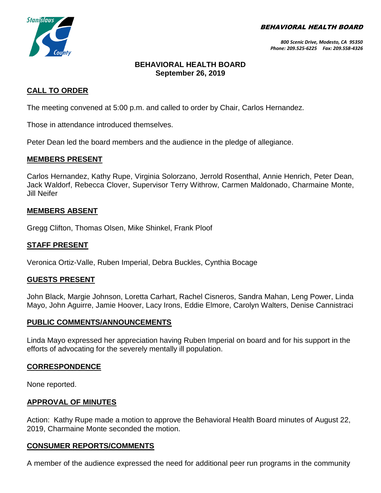BEHAVIORAL HEALTH BOARD



*800 Scenic Drive, Modesto, CA 95350 Phone: 209.525-6225 Fax: 209.558-4326*

## **BEHAVIORAL HEALTH BOARD September 26, 2019**

### **CALL TO ORDER**

The meeting convened at 5:00 p.m. and called to order by Chair, Carlos Hernandez.

Those in attendance introduced themselves.

Peter Dean led the board members and the audience in the pledge of allegiance.

### **MEMBERS PRESENT**

Carlos Hernandez, Kathy Rupe, Virginia Solorzano, Jerrold Rosenthal, Annie Henrich, Peter Dean, Jack Waldorf, Rebecca Clover, Supervisor Terry Withrow, Carmen Maldonado, Charmaine Monte, Jill Neifer

### **MEMBERS ABSENT**

Gregg Clifton, Thomas Olsen, Mike Shinkel, Frank Ploof

### **STAFF PRESENT**

Veronica Ortiz-Valle, Ruben Imperial, Debra Buckles, Cynthia Bocage

#### **GUESTS PRESENT**

John Black, Margie Johnson, Loretta Carhart, Rachel Cisneros, Sandra Mahan, Leng Power, Linda Mayo, John Aguirre, Jamie Hoover, Lacy Irons, Eddie Elmore, Carolyn Walters, Denise Cannistraci

#### **PUBLIC COMMENTS/ANNOUNCEMENTS**

Linda Mayo expressed her appreciation having Ruben Imperial on board and for his support in the efforts of advocating for the severely mentally ill population.

#### **CORRESPONDENCE**

None reported.

#### **APPROVAL OF MINUTES**

Action: Kathy Rupe made a motion to approve the Behavioral Health Board minutes of August 22, 2019, Charmaine Monte seconded the motion.

## **CONSUMER REPORTS/COMMENTS**

A member of the audience expressed the need for additional peer run programs in the community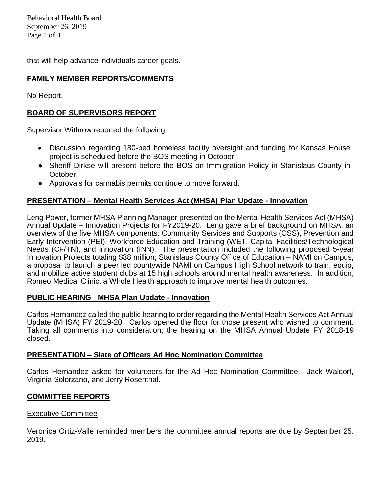Behavioral Health Board September 26, 2019 Page 2 of 4

that will help advance individuals career goals.

### **FAMILY MEMBER REPORTS/COMMENTS**

No Report.

## **BOARD OF SUPERVISORS REPORT**

Supervisor Withrow reported the following:

- Discussion regarding 180-bed homeless facility oversight and funding for Kansas House project is scheduled before the BOS meeting in October.
- Sheriff Dirkse will present before the BOS on Immigration Policy in Stanislaus County in October.
- Approvals for cannabis permits continue to move forward.

## **PRESENTATION – Mental Health Services Act (MHSA) Plan Update - Innovation**

Leng Power, former MHSA Planning Manager presented on the Mental Health Services Act (MHSA) Annual Update – Innovation Projects for FY2019-20. Leng gave a brief background on MHSA, an overview of the five MHSA components: Community Services and Supports (CSS), Prevention and Early Intervention (PEI), Workforce Education and Training (WET, Capital Facilities/Technological Needs (CF/TN), and Innovation (INN). The presentation included the following proposed 5-year Innovation Projects totaling \$38 million; Stanislaus County Office of Education – NAMI on Campus, a proposal to launch a peer led countywide NAMI on Campus High School network to train, equip, and mobilize active student clubs at 15 high schools around mental health awareness. In addition, Romeo Medical Clinic, a Whole Health approach to improve mental health outcomes.

#### **PUBLIC HEARING** - **MHSA Plan Update - Innovation**

Carlos Hernandez called the public hearing to order regarding the Mental Health Services Act Annual Update (MHSA) FY 2019-20. Carlos opened the floor for those present who wished to comment. Taking all comments into consideration, the hearing on the MHSA Annual Update FY 2018-19 closed.

#### **PRESENTATION – Slate of Officers Ad Hoc Nomination Committee**

Carlos Hernandez asked for volunteers for the Ad Hoc Nomination Committee. Jack Waldorf, Virginia Solorzano, and Jerry Rosenthal.

## **COMMITTEE REPORTS**

#### Executive Committee

Veronica Ortiz-Valle reminded members the committee annual reports are due by September 25, 2019.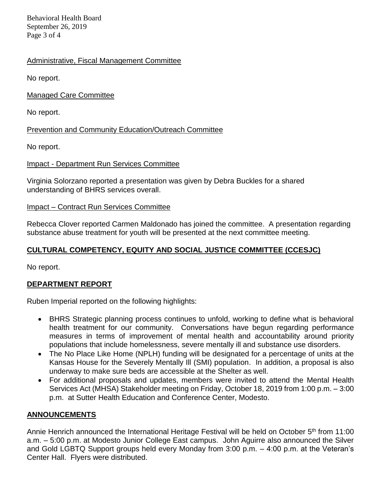Behavioral Health Board September 26, 2019 Page 3 of 4

## Administrative, Fiscal Management Committee

No report.

Managed Care Committee

No report.

Prevention and Community Education/Outreach Committee

No report.

#### Impact - Department Run Services Committee

Virginia Solorzano reported a presentation was given by Debra Buckles for a shared understanding of BHRS services overall.

### Impact – Contract Run Services Committee

Rebecca Clover reported Carmen Maldonado has joined the committee. A presentation regarding substance abuse treatment for youth will be presented at the next committee meeting.

## **CULTURAL COMPETENCY, EQUITY AND SOCIAL JUSTICE COMMITTEE (CCESJC)**

No report.

## **DEPARTMENT REPORT**

Ruben Imperial reported on the following highlights:

- BHRS Strategic planning process continues to unfold, working to define what is behavioral health treatment for our community. Conversations have begun regarding performance measures in terms of improvement of mental health and accountability around priority populations that include homelessness, severe mentally ill and substance use disorders.
- The No Place Like Home (NPLH) funding will be designated for a percentage of units at the Kansas House for the Severely Mentally Ill (SMI) population. In addition, a proposal is also underway to make sure beds are accessible at the Shelter as well.
- For additional proposals and updates, members were invited to attend the Mental Health Services Act (MHSA) Stakeholder meeting on Friday, October 18, 2019 from 1:00 p.m. – 3:00 p.m. at Sutter Health Education and Conference Center, Modesto.

## **ANNOUNCEMENTS**

Annie Henrich announced the International Heritage Festival will be held on October 5<sup>th</sup> from 11:00 a.m. – 5:00 p.m. at Modesto Junior College East campus. John Aguirre also announced the Silver and Gold LGBTQ Support groups held every Monday from 3:00 p.m. – 4:00 p.m. at the Veteran's Center Hall. Flyers were distributed.